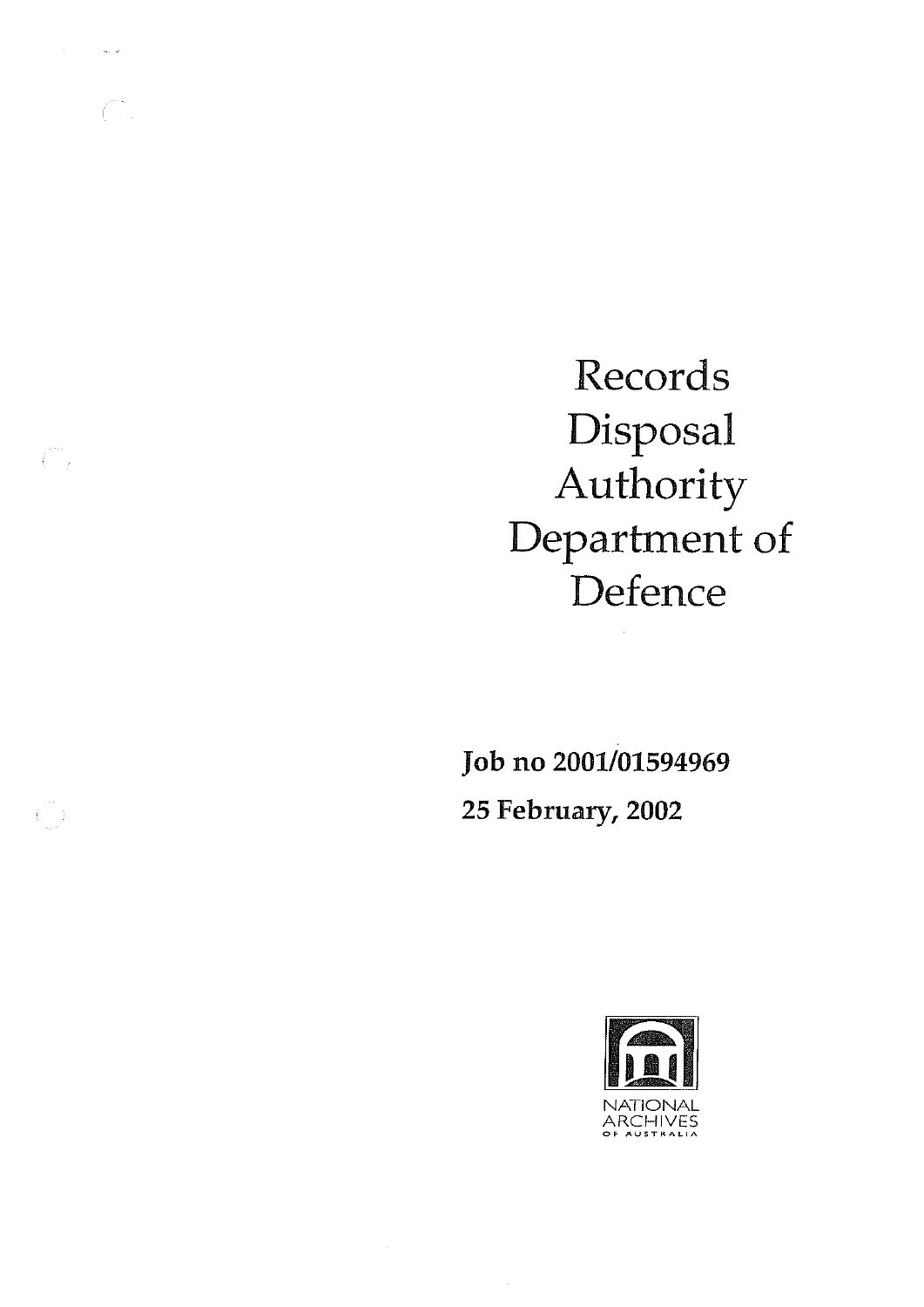**Records Disposal Authority Department of Defence**

 $\omega_{\alpha}=\beta$ 

 $\hat{C}_t$ 

 $\binom{m}{m}$ 

**Job no** *2001/01594969*  **25 February, 2002** 

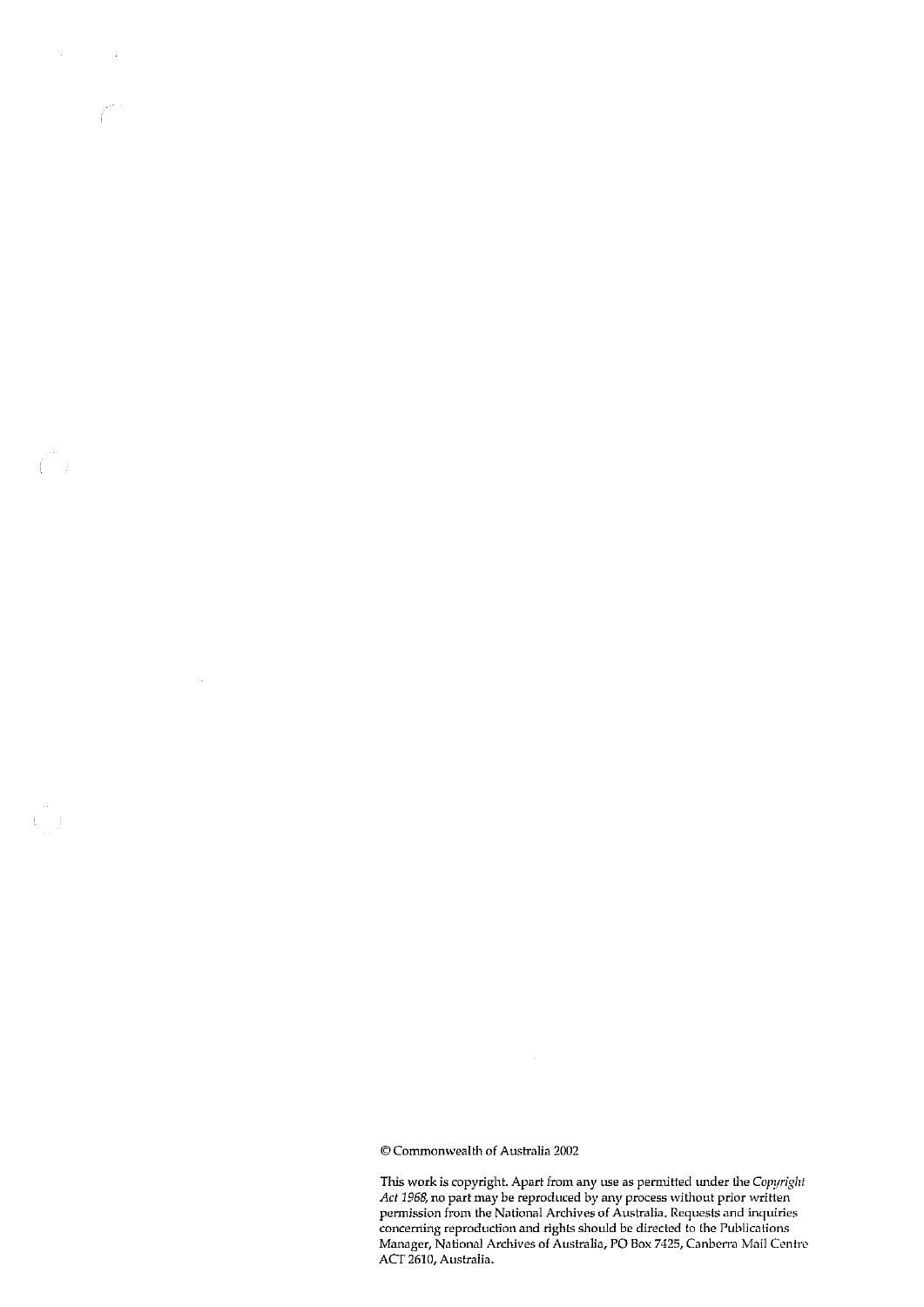$\mathcal{A}^{\text{max}}_{\text{max}}$  and  $\mathcal{A}^{\text{max}}_{\text{max}}$ 

 $\hat{C}^{\dagger}$  :

 $\begin{pmatrix} 0 \\ 0 \\ 0 \end{pmatrix}$ 

 $\sim$ 

© Commonwealth of Australia 2002

This work is copyright. Apart from any use as permitted under the *Copyright*  Act 1968, no part may be reproduced by any process without prior written permission from the National Archives of Australia. Requests and inquiries concerning reproduction and rights should be directed to the Publications Manager, National Archives of Australia, PO Box 7425, Canberra Mail Centre ACT 2610, Australia.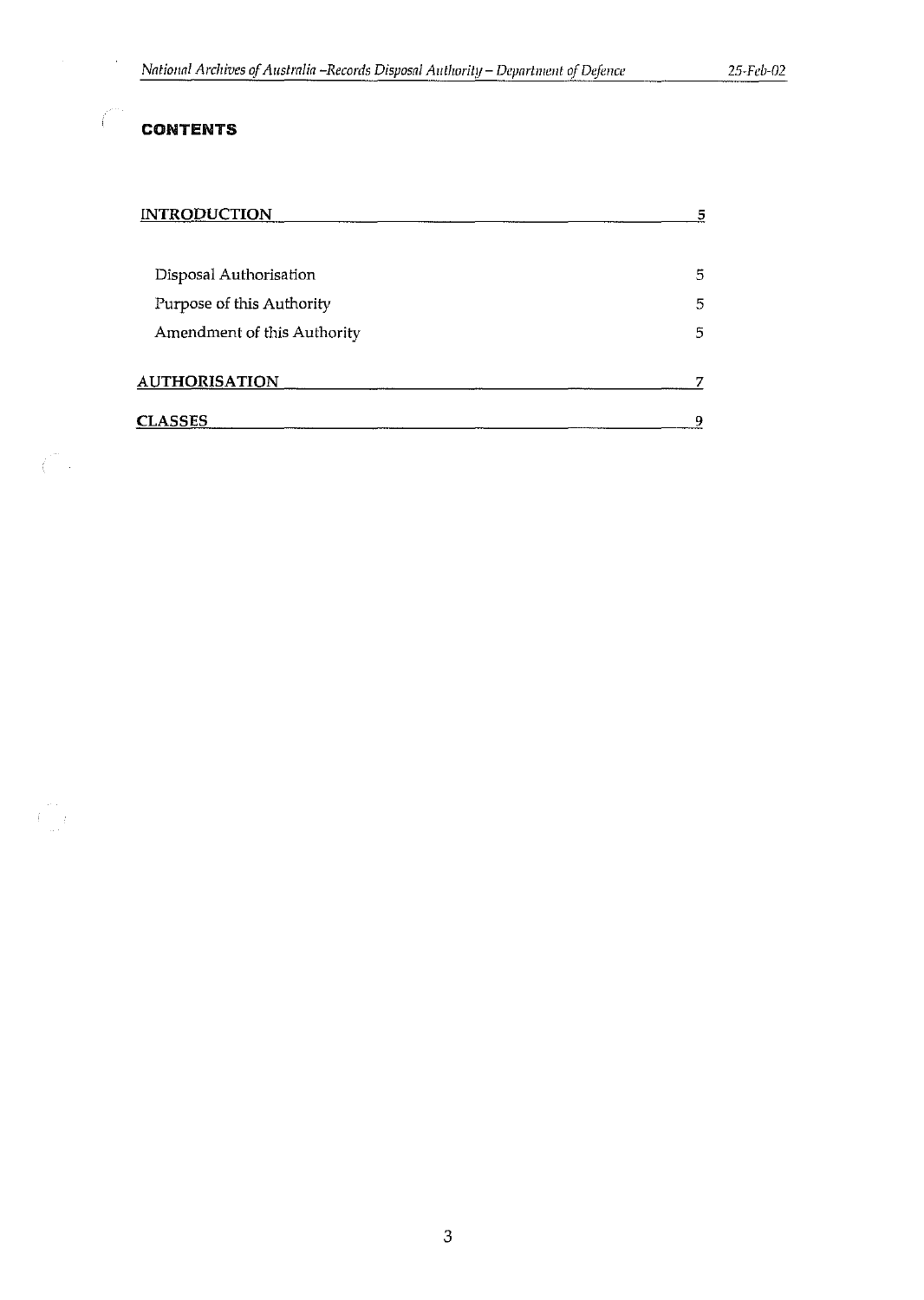## **CONTENTS**

 $\hat{C}$ 

 $\left(\begin{array}{cc} 1 & 0 \\ 0 & 0 \end{array}\right)$ 

 $\begin{pmatrix} \omega_{\alpha} \\ \omega_{\alpha} \\ \omega_{\alpha} \end{pmatrix}$ 

| <b>INTRODUCTION</b>         | 5 |
|-----------------------------|---|
|                             |   |
| Disposal Authorisation      | 5 |
| Purpose of this Authority   | 5 |
| Amendment of this Authority | 5 |
| <b>AUTHORISATION</b>        | 7 |
| <b>CLASSES</b>              | Q |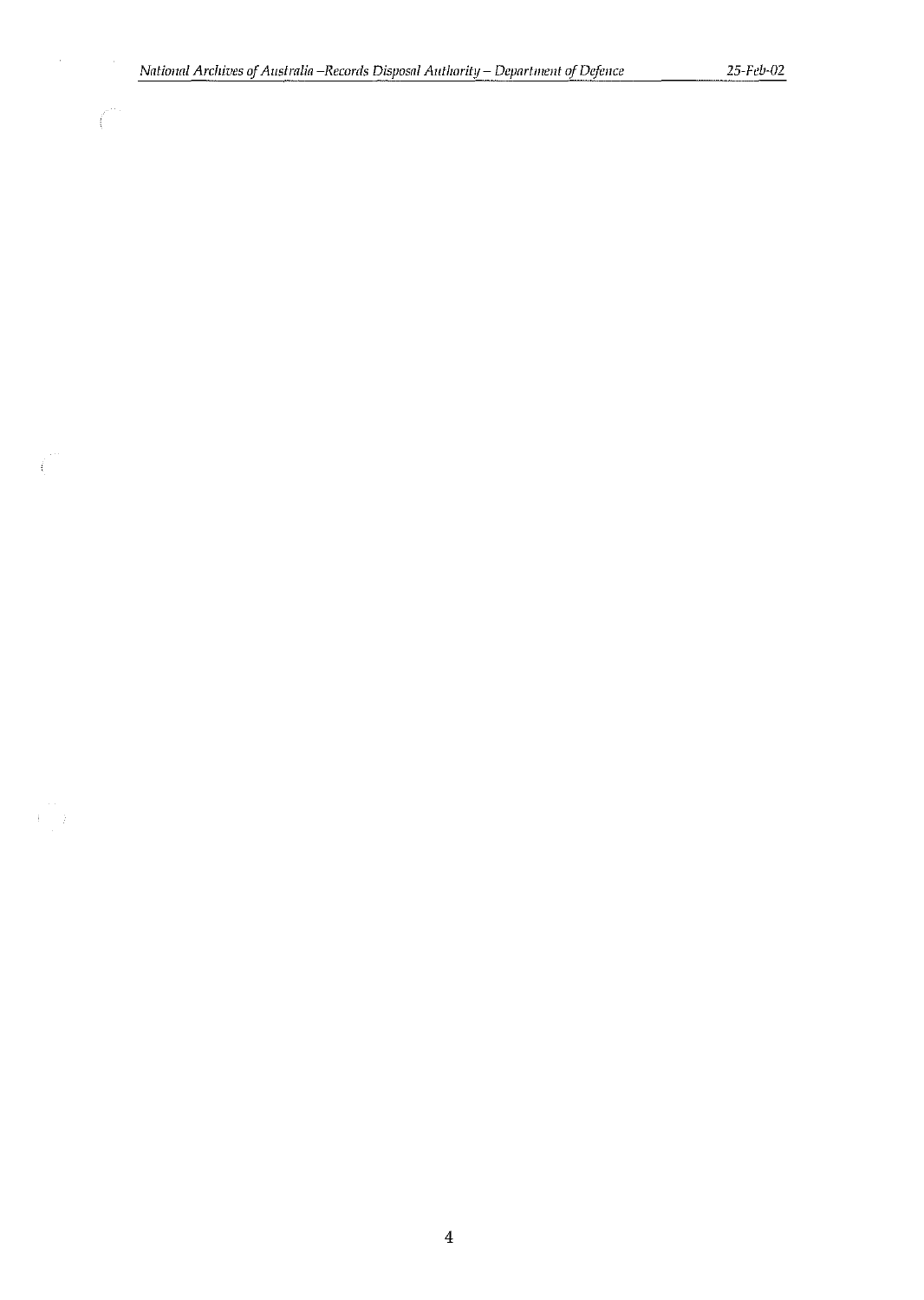$\hat{\mathcal{E}}$ 

 $\hat{C}$ 

 $\begin{pmatrix} 1 & 0 \\ 0 & 1 \end{pmatrix}$ 

 $\bar{\beta}$ 

 $\left\langle \right\rangle$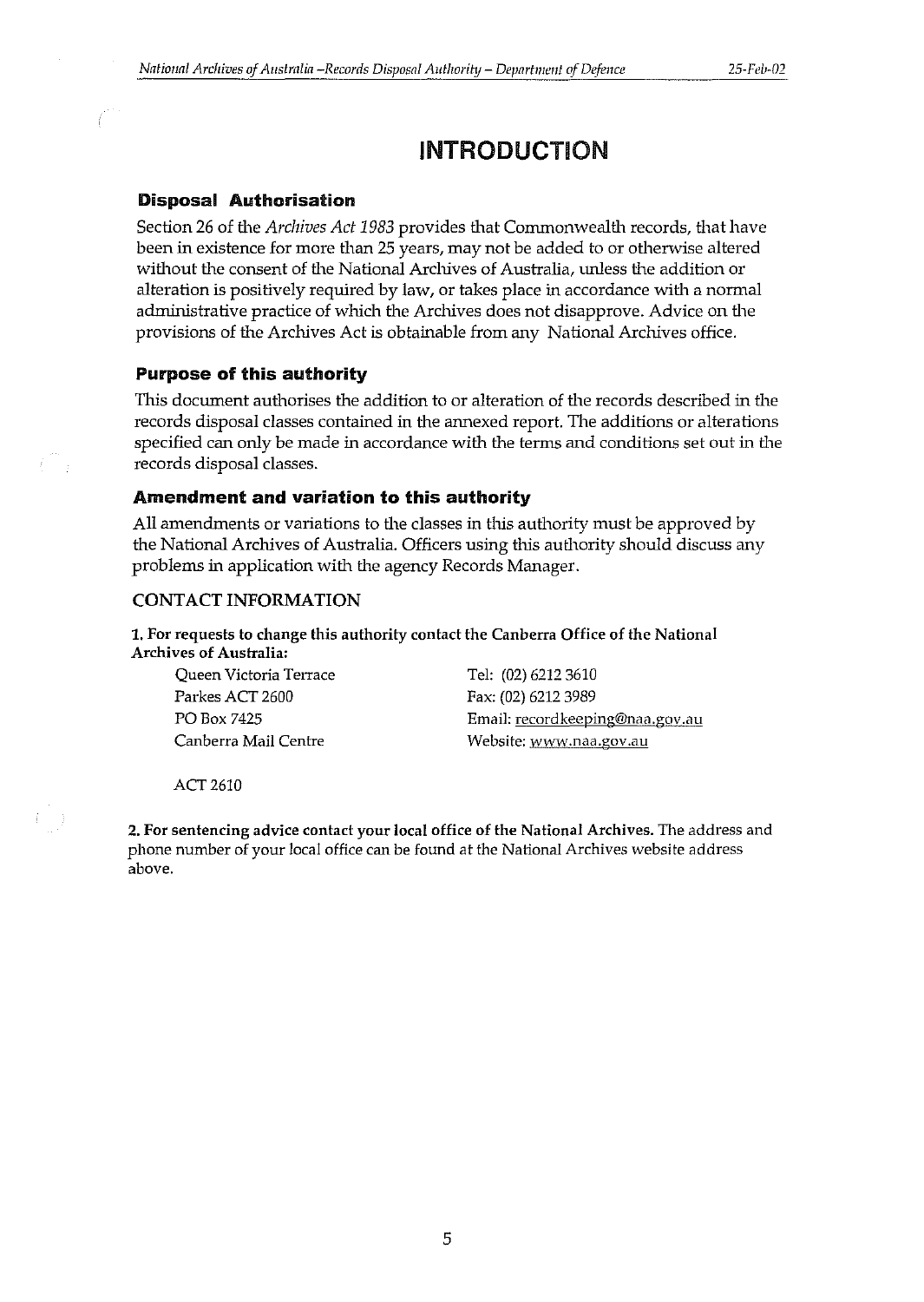# **INTRODUCTION**

## **Disposal Authorisation**

Section 26 of the *Archives Act* 1983 provides that Commonwealth records, that have been in existence for more than 25 years, may not be added to or otherwise altered without the consent of the National Archives of Australia, unless the addition or alteration is positively required by law, or takes place in accordance with a normal administrative practice of which the Archives does not disapprove. Advice on the provisions of the Archives Act is obtainable from any National Archives office.

## **Purpose of this authority**

This document authorises the addition to or alteration of the records described in the records disposal classes contained in the annexed report. The additions or alterations specified can only be made in accordance with the terms and conditions set out in the records disposal classes.

## **Amendment and variation to this authority**

All amendments or variations to the classes in this authority must be approved by the National Archives of Australia. Officers using this authority should discuss any problems in application with the agency Records Manager.

## CONTACT INFORMATION

## 1. For requests to change this authority contact the Canberra Office of the National Archives of Australia:

Queen Victoria Terrace Tel: (02) 6212 3610 Parkes ACT 2600 Fax: (02) 6212 3989

POBox 7425 **Email: recordkeeping@naa.gov.au**  Canberra Mail Centre **Website: www.naa.gov.au** 

ACT 2610

2. For sentencing advice contact your local office of the National Archives. The address and phone number of your local office can be found at the National Archives website address above.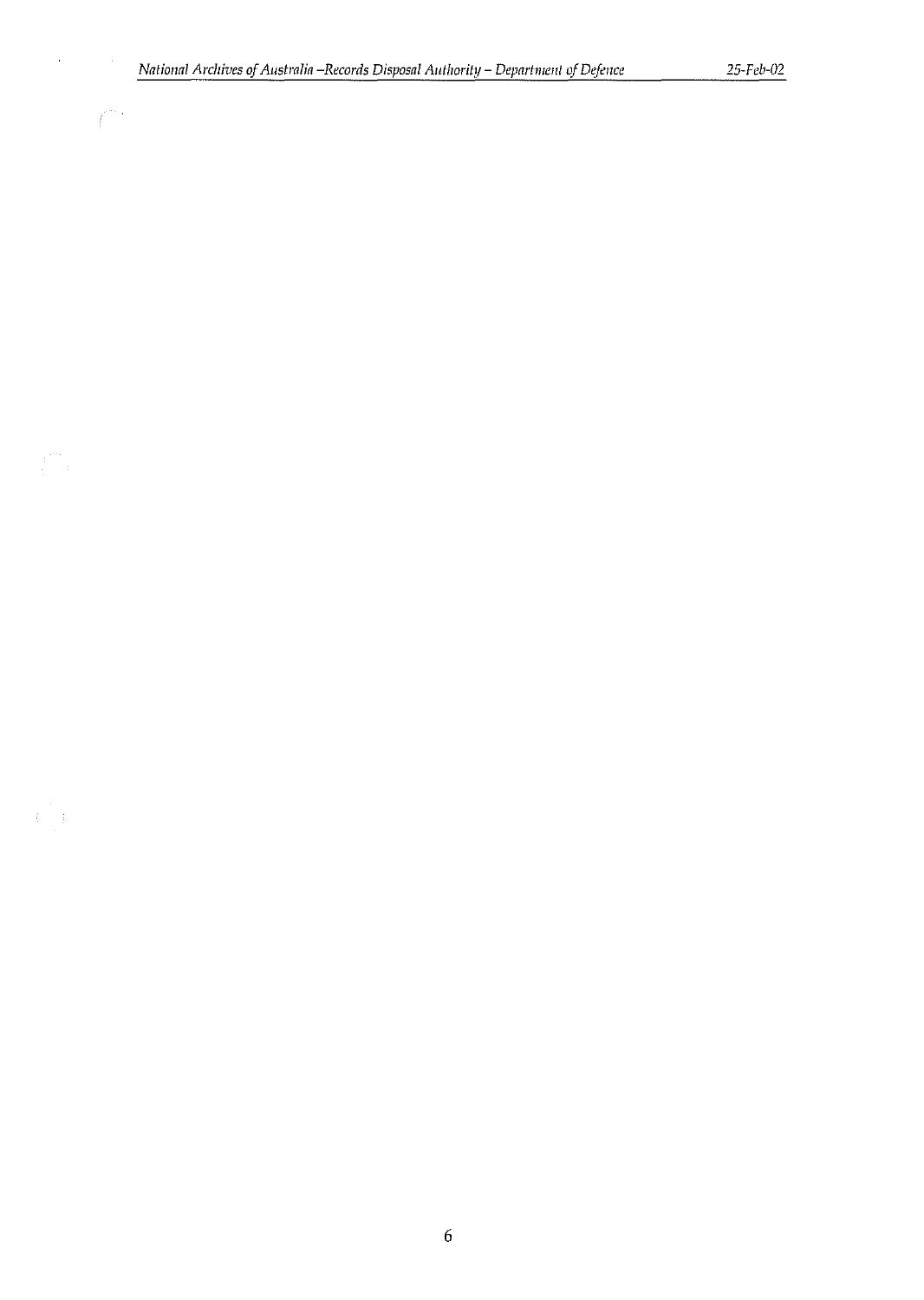$\begin{pmatrix} 1 \\ 0 \\ 0 \end{pmatrix}$ 

 $\int_0^{\sqrt{2\pi} \sqrt{2}}$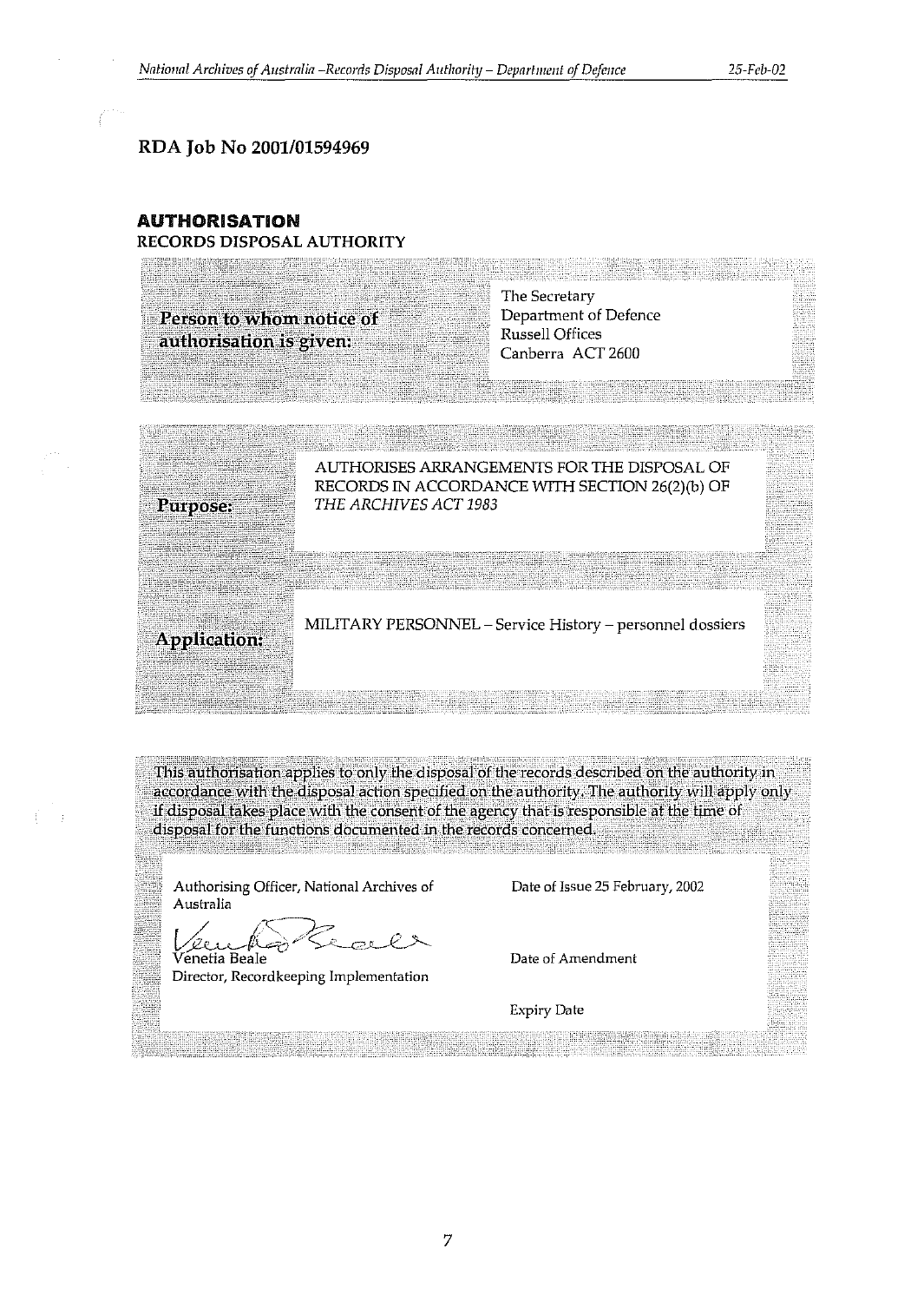## **RDAJob No 2001/01594969**

## **AUTHORISATION RECORDS DISPOSAL AUTHORITY**

**Person to whom notice of** authorisation is given:

The Secretary Department of Defence Russell Offices Canberra ACT 2600



This authorisation applies to only the disposal of the records described on the authority in accordance with the disposal action specified on the authority. The authority will apply only If disposal takes place with the consent of the agency that is responsible at the time of disposal for the functions documented in the records concerned.

Authorising Officer, National Archives of Australia

Venetia Beale Director, Recordkeeping Implementation Date of Issue 25 February, 2002

Date of Amendment

**Expiry Date**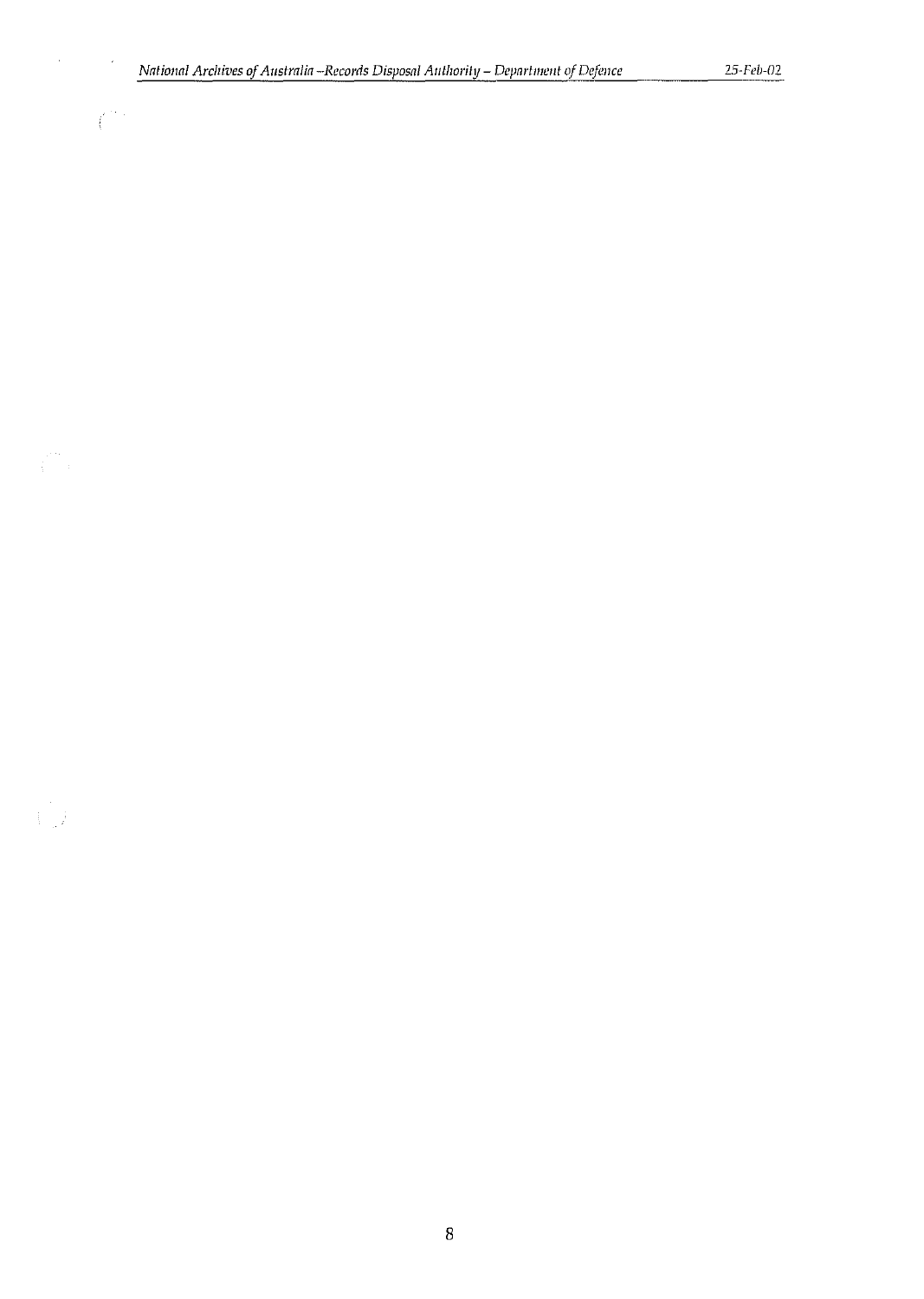*National Archivesof Australia -Records Disposal Authority*- *Department of Defence 25-Feb-02* 

 $\begin{pmatrix} 1 \\ 1 \\ 2 \end{pmatrix}$ 

 $\begin{pmatrix} 1 & 0 \\ 1 & 0 \end{pmatrix}$ 

 $\frac{1}{2}$ 

 $\frac{1}{2}$ 

 $\int_0^1 \frac{dx}{x^2} dx$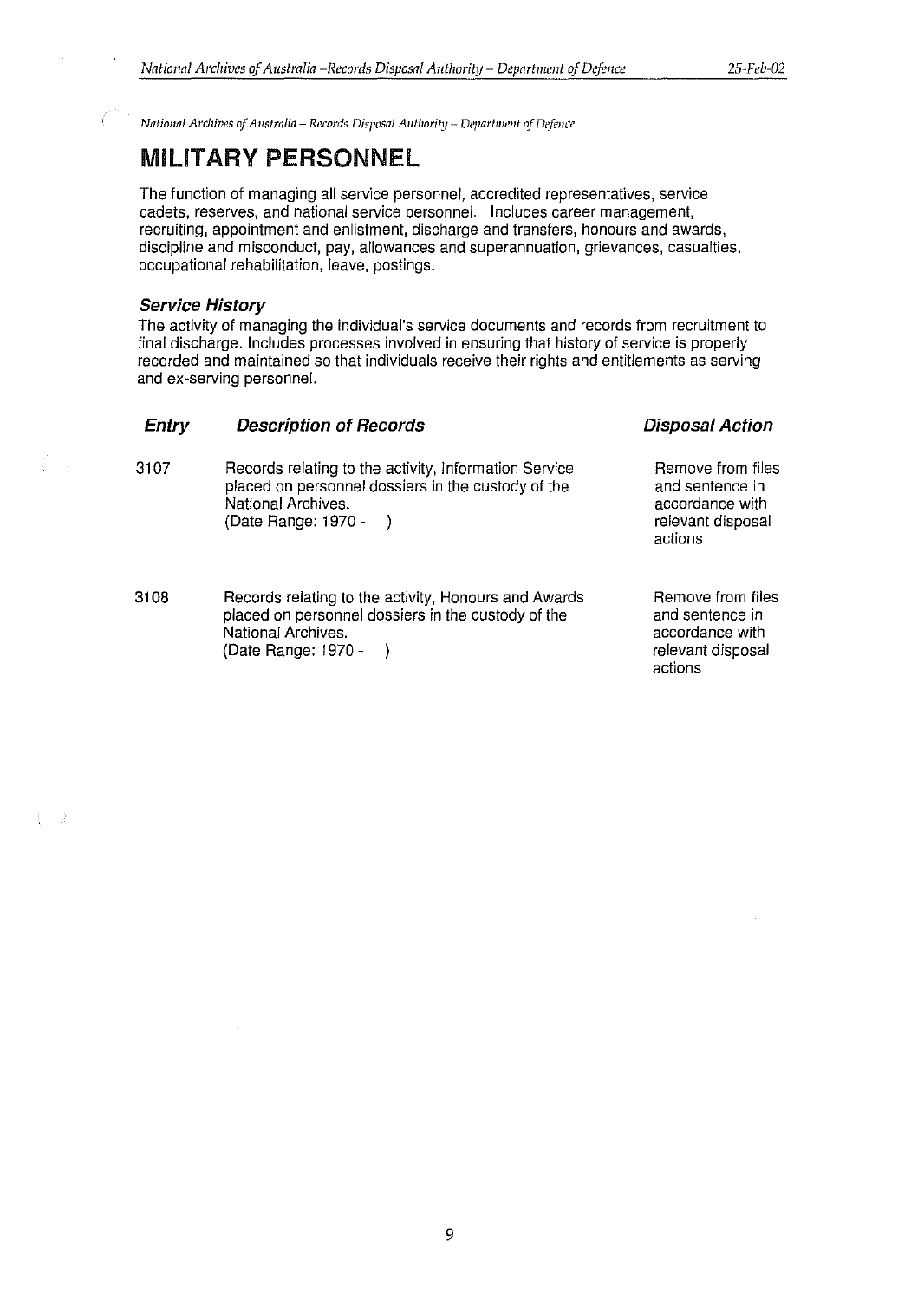*National Archives ofAustralia***-** *Records Disposal Authority***-** *DepartmentofDefelice* 

# **MILITARY PERSONNEL**

The function of managing all service personnel, accredited representatives, service cadets, reserves, and national service personnel. Includes career management, recruiting, appointment and enlistment, discharge and transfers, honours and awards, discipline and misconduct, pay, allowances and superannuation, grievances, casualties, occupational rehabilitation, leave, postings.

## **Service History**

Í

 $\left\{ \cdots \right\}$ 

The activity of managing the individual's service documents and records from recruitment to final discharge. Includes processes involved **in** ensuring that history of service is properly recorded and maintained so that individuals receive their rights and entitiements as serving and ex-serving personnel.

| Entry | <b>Description of Records</b>                                                                                                                              | <b>Disposal Action</b>                                                                  |
|-------|------------------------------------------------------------------------------------------------------------------------------------------------------------|-----------------------------------------------------------------------------------------|
| 3107  | Records relating to the activity, Information Service<br>placed on personnel dossiers in the custody of the<br>National Archives.<br>(Date Range: 1970 - ) | Remove from files<br>and sentence in<br>accordance with<br>relevant disposal<br>actions |
| 3108  | Records relating to the activity, Honours and Awards<br>placed on personnel dossiers in the custody of the<br>National Archives.<br>(Date Range: 1970 -    | Remove from files<br>and sentence in<br>accordance with<br>relevant disposal<br>actions |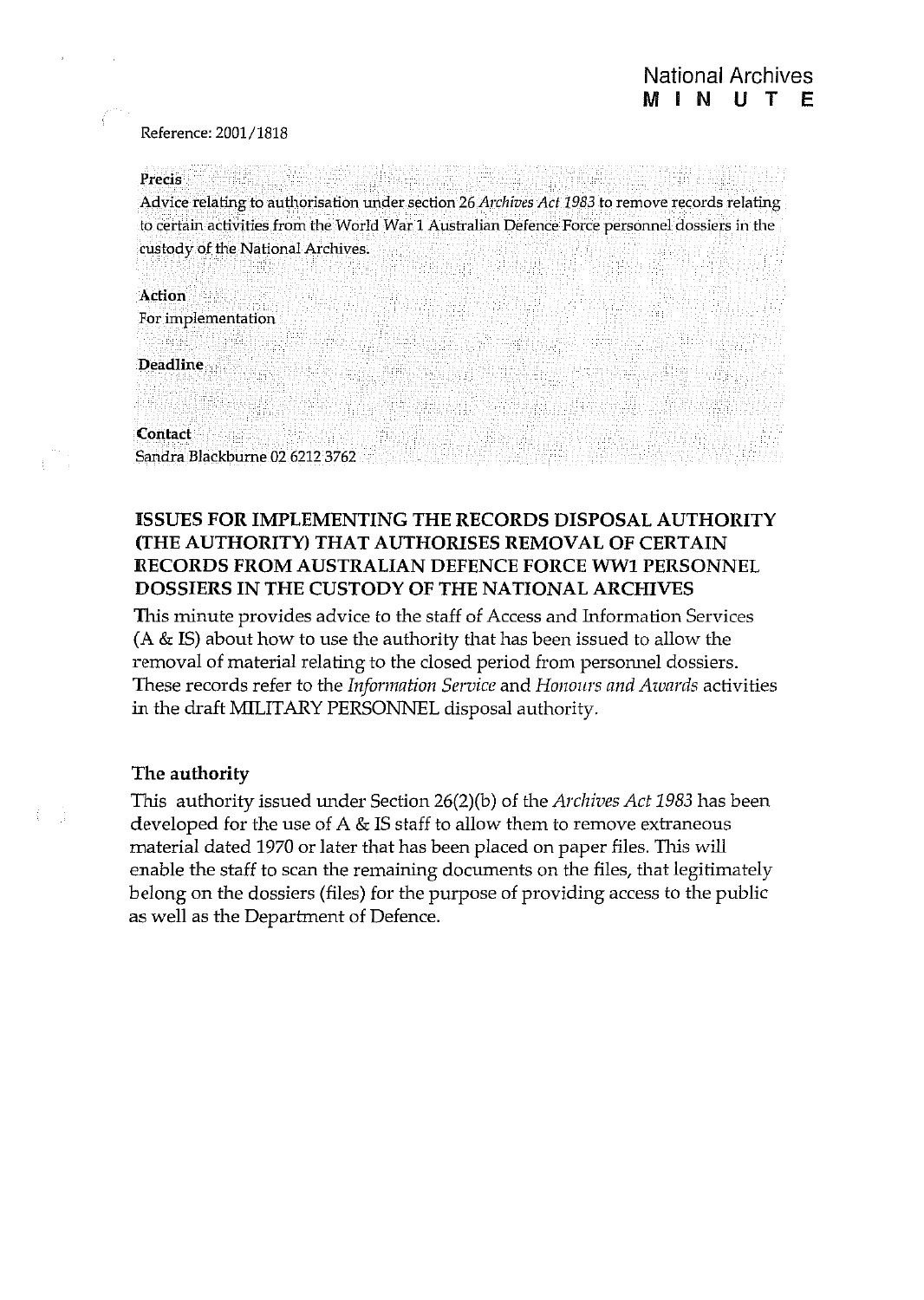## National Archives MIN UTE

#### Reference: 2001/1818

Precis Advice relating to authorisation under section 26 Archives Act 1983 to remove records relating to certain activities from the World War 1 Australian Defence Force personnel dossiers in the custody of the National Archives.

## Action

For implementation

### **Deadline**

Contact Sandra Blackburne 02 6212 3762

## ISSUES FOR IMPLEMENTING THE RECORDS DISPOSAL AUTHORITY (THE AUTHORITY) THAT AUTHORISES REMOVAL OF CERTAIN RECORDS FROM AUSTRALIAN DEFENCE FORCE WWl PERSONNEL DOSSIERS IN THE CUSTODY OF THE NATIONAL ARCHIVES

This minute provides advice to the staff of Access and Information Services (A  $\&$  IS) about how to use the authority that has been issued to allow the removal of material relating to the closed period from personnel dossiers. These records refer to the *Information Service* and *Honours and Awards* activities in the draft MILITARY PERSONNEL disposal authority.

## The authority

This authority issued under Section 26(2)(b) of the *Archives Act 1983* has been developed for the use of A & IS staff to allow them to remove extraneous material dated 1970 or later that has been placed on paper files. This will enable the staff to scan the remaining documents on the files, that legitimately belong on the dossiers (files) for the purpose of providing access to the public as well as the Department of Defence.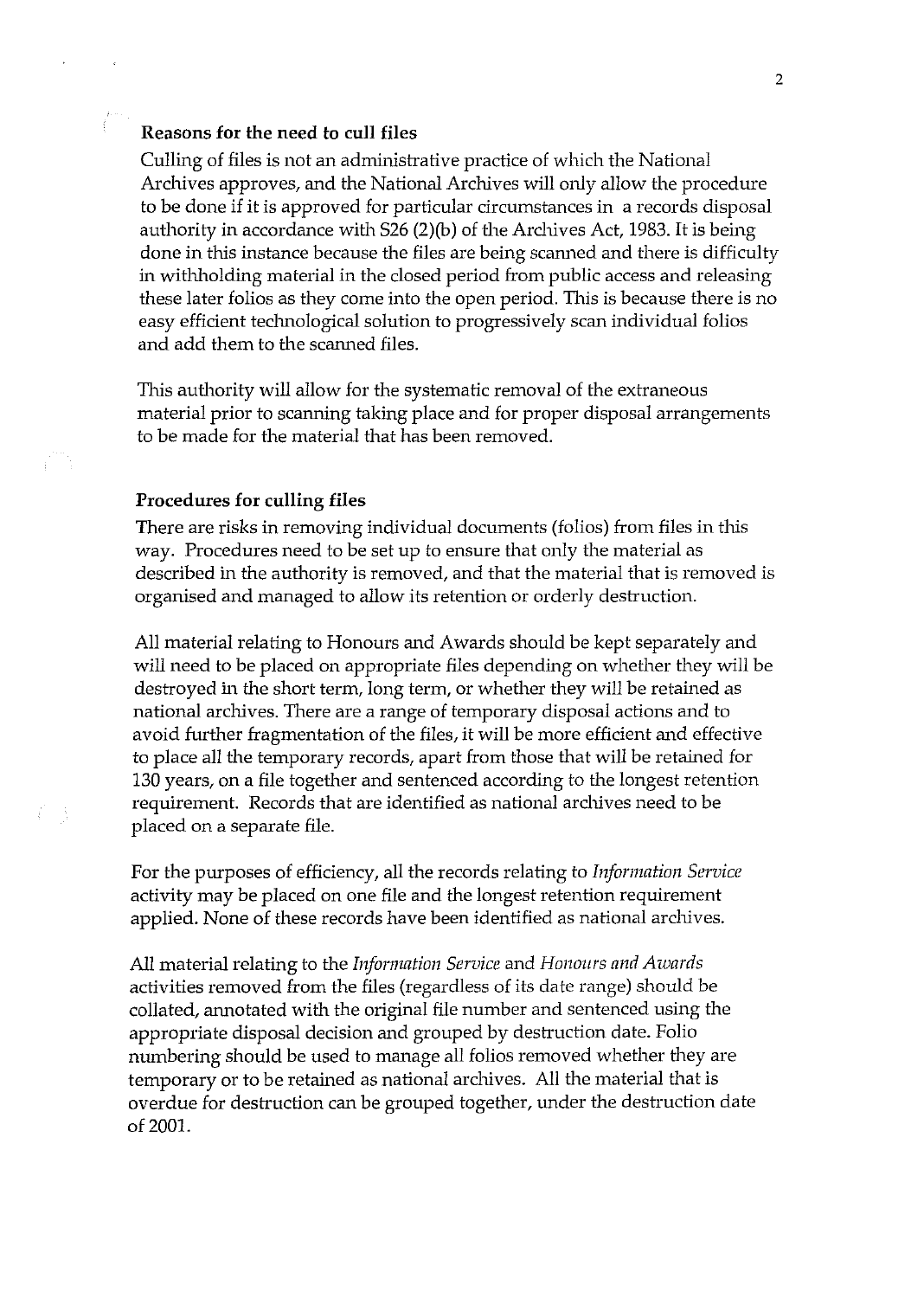## Reasons for the need to cull files

Culling of files is not an administrative practice of which the National Archives approves, and the National Archives will only allow the procedure to be done if it is approved for particular circumstances in a records disposal authority in accordance with 526 (2)(b) of the Archives Act, 1983. It is being done in this instance because the files are being scanned and there is difficulty in withholding material in the closed period from public access and releasing these later folios as they come into the open period. This is because there is no easy efficient teclmological solution to progressively scan individual folios and add them to the scanned files.

This authority will allow for the systematic removal of the extraneous material prior to scanning taking place and for proper disposal arrangements to be made for the material that has been removed.

#### Procedures for culling files

There are risks in removing individual documents (folios) from files in this way. Procedures need to be set up to ensure that only the material as described in the authority is removed, and that the material that is removed is organised and managed to allow its retention or orderly destruction.

All material relating to Honours and Awards should be kept separately and will need to be placed on appropriate files depending on whether they will be destroyed in the short term, long term, or whether they will be retained as national archives. There are a range of temporary disposal actions and to avoid further fragmentation of the files, it will be more efficient and effective to place all the temporary records, apart from those that will be retained for 130 years, on a file together and sentenced according to the longest retention requirement. Records that are identified as national archives need to be placed on a separate file.

For the purposes of efficiency, all the records relating to *Information Service*  activity may be placed on one file and the longest retention requirement applied. None of these records have been identified as national archives.

All material relating to the *Information Service* and *Honours and Awards* activities removed from the files (regardless of its date range) should be collated, annotated with the original file number and sentenced using the appropriate disposal decision and grouped by destruction date. Folio numbering should be used to manage all folios removed whether they are temporary or to be retained as national archives. All the material that is overdue for destruction can be grouped together, under the destruction date of 2001.